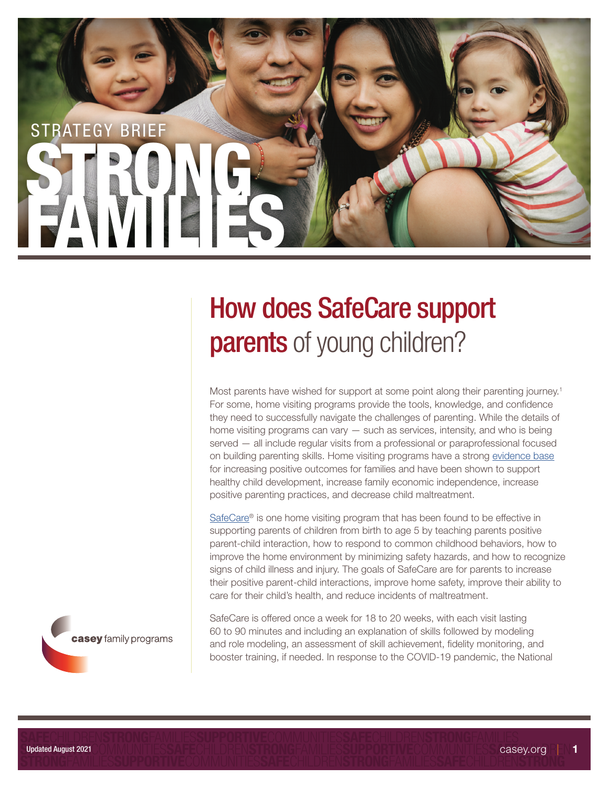

# How does SafeCare support **parents** of young children?

Most parents have wished for support at some point along their parenting journey.<sup>1</sup> For some, home visiting programs provide the tools, knowledge, and confidence they need to successfully navigate the challenges of parenting. While the details of home visiting programs can vary — such as services, intensity, and who is being served — all include regular visits from a professional or paraprofessional focused on building parenting skills. Home visiting programs have a strong evidence base for increasing positive outcomes for families and have been shown to support healthy child development, increase family economic independence, increase positive parenting practices, and decrease child maltreatment.

SafeCare® is one home visiting program that has been found to be effective in supporting parents of children from birth to age 5 by teaching parents positive parent-child interaction, how to respond to common childhood behaviors, how to improve the home environment by minimizing safety hazards, and how to recognize signs of child illness and injury. The goals of SafeCare are for parents to increase their positive parent-child interactions, improve home safety, improve their ability to care for their child's health, and reduce incidents of maltreatment.

SafeCare is offered once a week for 18 to 20 weeks, with each visit lasting 60 to 90 minutes and including an explanation of skills followed by modeling and role modeling, an assessment of skill achievement, fidelity monitoring, and booster training, if needed. In response to the COVID-19 pandemic, the National

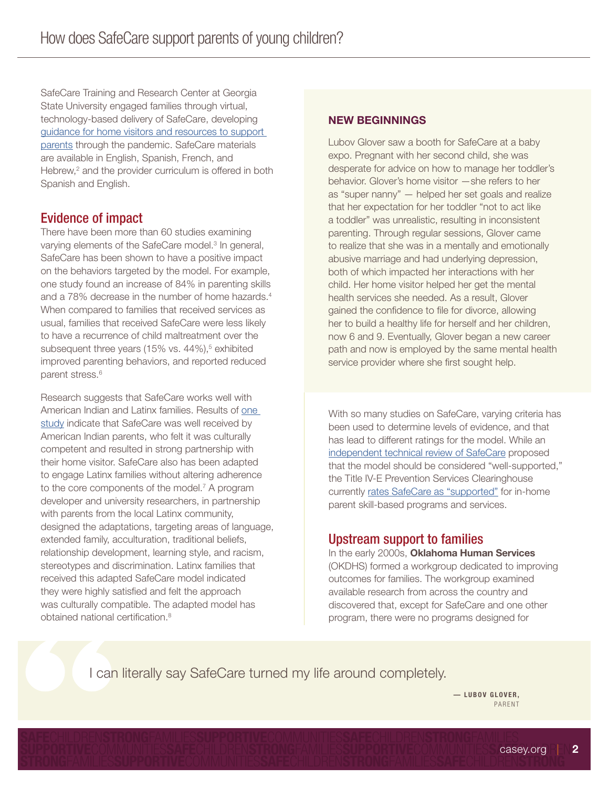SafeCare Training and Research Center at Georgia State University engaged families through virtual, technology-based delivery of SafeCare, developing guidance for home visitors and resources to support parents through the pandemic. SafeCare materials are available in English, Spanish, French, and Hebrew,<sup>2</sup> and the provider curriculum is offered in both Spanish and English.

# Evidence of impact

There have been more than 60 studies examining varying elements of the SafeCare model.<sup>3</sup> In general, SafeCare has been shown to have a positive impact on the behaviors targeted by the model. For example, one study found an increase of 84% in parenting skills and a 78% decrease in the number of home hazards.<sup>4</sup> When compared to families that received services as usual, families that received SafeCare were less likely to have a recurrence of child maltreatment over the subsequent three years (15% vs. 44%),<sup>5</sup> exhibited improved parenting behaviors, and reported reduced parent stress.<sup>6</sup>

Research suggests that SafeCare works well with American Indian and Latinx families. Results of one study indicate that SafeCare was well received by American Indian parents, who felt it was culturally competent and resulted in strong partnership with their home visitor. SafeCare also has been adapted to engage Latinx families without altering adherence to the core components of the model.<sup>7</sup> A program developer and university researchers, in partnership with parents from the local Latinx community, designed the adaptations, targeting areas of language, extended family, acculturation, traditional beliefs, relationship development, learning style, and racism, stereotypes and discrimination. Latinx families that received this adapted SafeCare model indicated they were highly satisfied and felt the approach was culturally compatible. The adapted model has obtained national certification.8

## NEW BEGINNINGS

Lubov Glover saw a booth for SafeCare at a baby expo. Pregnant with her second child, she was desperate for advice on how to manage her toddler's behavior. Glover's home visitor —she refers to her as "super nanny" — helped her set goals and realize that her expectation for her toddler "not to act like a toddler" was unrealistic, resulting in inconsistent parenting. Through regular sessions, Glover came to realize that she was in a mentally and emotionally abusive marriage and had underlying depression, both of which impacted her interactions with her child. Her home visitor helped her get the mental health services she needed. As a result, Glover gained the confidence to file for divorce, allowing her to build a healthy life for herself and her children, now 6 and 9. Eventually, Glover began a new career path and now is employed by the same mental health service provider where she first sought help.

With so many studies on SafeCare, varying criteria has been used to determine levels of evidence, and that has lead to different ratings for the model. While an independent technical review of SafeCare proposed that the model should be considered "well-supported," the Title IV-E Prevention Services Clearinghouse currently rates SafeCare as "supported" for in-home parent skill-based programs and services.

## Upstream support to families

In the early 2000s, Oklahoma Human Services (OKDHS) formed a workgroup dedicated to improving outcomes for families. The workgroup examined available research from across the country and discovered that, except for SafeCare and one other program, there were no programs designed for

I can literally say SafeCare turned my life around completely.

— LUBOV GLOVER, PARENT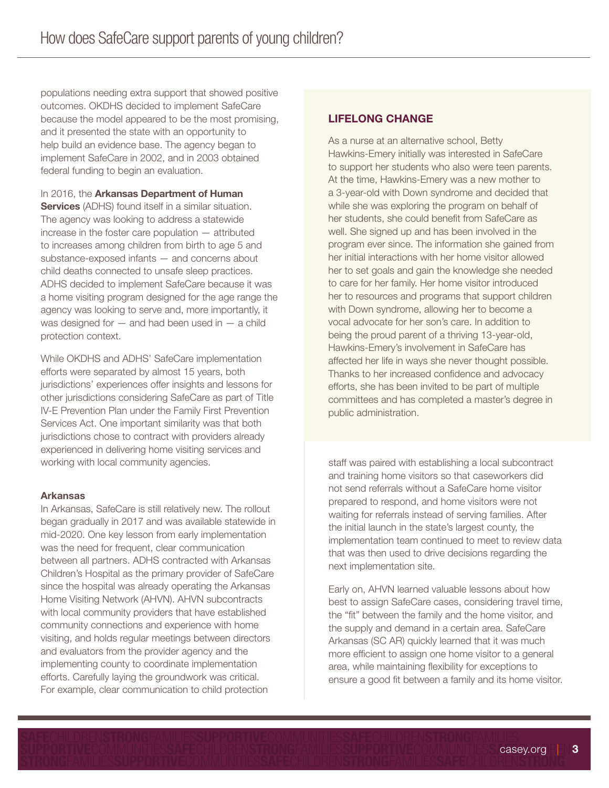populations needing extra support that showed positive outcomes. OKDHS decided to implement SafeCare because the model appeared to be the most promising, and it presented the state with an opportunity to help build an evidence base. The agency began to implement SafeCare in 2002, and in 2003 obtained federal funding to begin an evaluation.

#### In 2016, the Arkansas Department of Human

**Services** (ADHS) found itself in a similar situation. The agency was looking to address a statewide increase in the foster care population — attributed to increases among children from birth to age 5 and substance-exposed infants — and concerns about child deaths connected to unsafe sleep practices. ADHS decided to implement SafeCare because it was a home visiting program designed for the age range the agency was looking to serve and, more importantly, it was designed for  $-$  and had been used in  $-$  a child protection context.

While OKDHS and ADHS' SafeCare implementation efforts were separated by almost 15 years, both jurisdictions' experiences offer insights and lessons for other jurisdictions considering SafeCare as part of Title IV-E Prevention Plan under the Family First Prevention Services Act. One important similarity was that both jurisdictions chose to contract with providers already experienced in delivering home visiting services and working with local community agencies.

#### Arkansas

In Arkansas, SafeCare is still relatively new. The rollout began gradually in 2017 and was available statewide in mid-2020. One key lesson from early implementation was the need for frequent, clear communication between all partners. ADHS contracted with Arkansas Children's Hospital as the primary provider of SafeCare since the hospital was already operating the Arkansas Home Visiting Network (AHVN). AHVN subcontracts with local community providers that have established community connections and experience with home visiting, and holds regular meetings between directors and evaluators from the provider agency and the implementing county to coordinate implementation efforts. Carefully laying the groundwork was critical. For example, clear communication to child protection

## LIFELONG CHANGE

As a nurse at an alternative school, Betty Hawkins-Emery initially was interested in SafeCare to support her students who also were teen parents. At the time, Hawkins-Emery was a new mother to a 3-year-old with Down syndrome and decided that while she was exploring the program on behalf of her students, she could benefit from SafeCare as well. She signed up and has been involved in the program ever since. The information she gained from her initial interactions with her home visitor allowed her to set goals and gain the knowledge she needed to care for her family. Her home visitor introduced her to resources and programs that support children with Down syndrome, allowing her to become a vocal advocate for her son's care. In addition to being the proud parent of a thriving 13-year-old, Hawkins-Emery's involvement in SafeCare has affected her life in ways she never thought possible. Thanks to her increased confidence and advocacy efforts, she has been invited to be part of multiple committees and has completed a master's degree in public administration.

staff was paired with establishing a local subcontract and training home visitors so that caseworkers did not send referrals without a SafeCare home visitor prepared to respond, and home visitors were not waiting for referrals instead of serving families. After the initial launch in the state's largest county, the implementation team continued to meet to review data that was then used to drive decisions regarding the next implementation site.

Early on, AHVN learned valuable lessons about how best to assign SafeCare cases, considering travel time, the "fit" between the family and the home visitor, and the supply and demand in a certain area. SafeCare Arkansas (SC AR) quickly learned that it was much more efficient to assign one home visitor to a general area, while maintaining flexibility for exceptions to ensure a good fit between a family and its home visitor.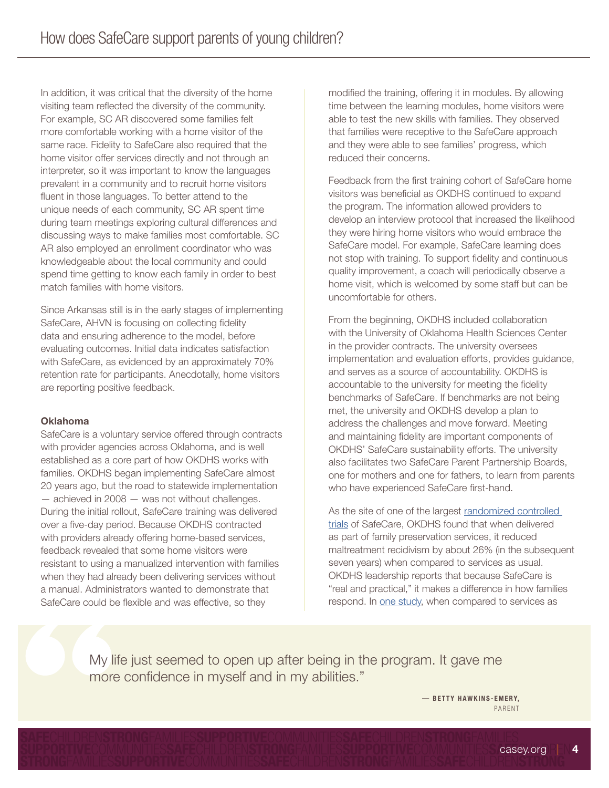In addition, it was critical that the diversity of the home visiting team reflected the diversity of the community. For example, SC AR discovered some families felt more comfortable working with a home visitor of the same race. Fidelity to SafeCare also required that the home visitor offer services directly and not through an interpreter, so it was important to know the languages prevalent in a community and to recruit home visitors fluent in those languages. To better attend to the unique needs of each community, SC AR spent time during team meetings exploring cultural differences and discussing ways to make families most comfortable. SC AR also employed an enrollment coordinator who was knowledgeable about the local community and could spend time getting to know each family in order to best match families with home visitors.

Since Arkansas still is in the early stages of implementing SafeCare, AHVN is focusing on collecting fidelity data and ensuring adherence to the model, before evaluating outcomes. Initial data indicates satisfaction with SafeCare, as evidenced by an approximately 70% retention rate for participants. Anecdotally, home visitors are reporting positive feedback.

#### Oklahoma

SafeCare is a voluntary service offered through contracts with provider agencies across Oklahoma, and is well established as a core part of how OKDHS works with families. OKDHS began implementing SafeCare almost 20 years ago, but the road to statewide implementation — achieved in 2008 — was not without challenges. During the initial rollout, SafeCare training was delivered over a five-day period. Because OKDHS contracted with providers already offering home-based services, feedback revealed that some home visitors were resistant to using a manualized intervention with families when they had already been delivering services without a manual. Administrators wanted to demonstrate that SafeCare could be flexible and was effective, so they

modified the training, offering it in modules. By allowing time between the learning modules, home visitors were able to test the new skills with families. They observed that families were receptive to the SafeCare approach and they were able to see families' progress, which reduced their concerns.

Feedback from the first training cohort of SafeCare home visitors was beneficial as OKDHS continued to expand the program. The information allowed providers to develop an interview protocol that increased the likelihood they were hiring home visitors who would embrace the SafeCare model. For example, SafeCare learning does not stop with training. To support fidelity and continuous quality improvement, a coach will periodically observe a home visit, which is welcomed by some staff but can be uncomfortable for others.

From the beginning, OKDHS included collaboration with the University of Oklahoma Health Sciences Center in the provider contracts. The university oversees implementation and evaluation efforts, provides guidance, and serves as a source of accountability. OKDHS is accountable to the university for meeting the fidelity benchmarks of SafeCare. If benchmarks are not being met, the university and OKDHS develop a plan to address the challenges and move forward. Meeting and maintaining fidelity are important components of OKDHS' SafeCare sustainability efforts. The university also facilitates two SafeCare Parent Partnership Boards, one for mothers and one for fathers, to learn from parents who have experienced SafeCare first-hand.

As the site of one of the largest randomized controlled trials of SafeCare, OKDHS found that when delivered as part of family preservation services, it reduced maltreatment recidivism by about 26% (in the subsequent seven years) when compared to services as usual. OKDHS leadership reports that because SafeCare is "real and practical," it makes a difference in how families respond. In one study, when compared to services as

My life just seemed to open up after being in the program. It gave me more confidence in myself and in my abilities."

> — BETTY HAWKINS-EMERY, PARENT